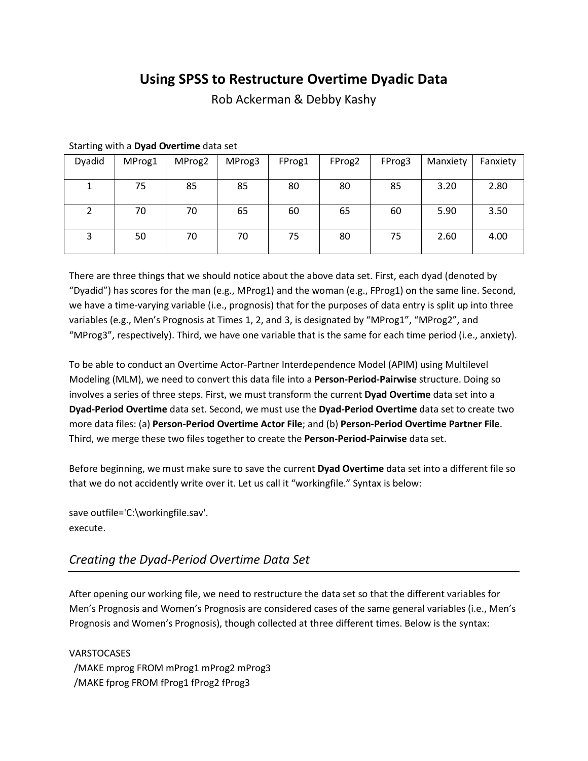# **Using SPSS to Restructure Overtime Dyadic Data**

Rob Ackerman & Debby Kashy

| Dyadid | MProg1 | MProg2 | MProg3 | FProg1 | FProg2 | FProg3 | Manxiety | Fanxiety |
|--------|--------|--------|--------|--------|--------|--------|----------|----------|
|        | 75     | 85     | 85     | 80     | 80     | 85     | 3.20     | 2.80     |
|        | 70     | 70     | 65     | 60     | 65     | 60     | 5.90     | 3.50     |
| 3      | 50     | 70     | 70     | 75     | 80     | 75     | 2.60     | 4.00     |

#### Starting with a **Dyad Overtime** data set

There are three things that we should notice about the above data set. First, each dyad (denoted by "Dyadid") has scores for the man (e.g., MProg1) and the woman (e.g., FProg1) on the same line. Second, we have a time-varying variable (i.e., prognosis) that for the purposes of data entry is split up into three variables (e.g., Men's Prognosis at Times 1, 2, and 3, is designated by "MProg1", "MProg2", and "MProg3", respectively). Third, we have one variable that is the same for each time period (i.e., anxiety).

To be able to conduct an Overtime Actor-Partner Interdependence Model (APIM) using Multilevel Modeling (MLM), we need to convert this data file into a **Person-Period-Pairwise** structure. Doing so involves a series of three steps. First, we must transform the current **Dyad Overtime** data set into a **Dyad-Period Overtime** data set. Second, we must use the **Dyad-Period Overtime** data set to create two more data files: (a) **Person-Period Overtime Actor File**; and (b) **Person-Period Overtime Partner File**. Third, we merge these two files together to create the **Person-Period-Pairwise** data set.

Before beginning, we must make sure to save the current **Dyad Overtime** data set into a different file so that we do not accidently write over it. Let us call it "workingfile." Syntax is below:

save outfile='C:\workingfile.sav'. execute.

## *Creating the Dyad-Period Overtime Data Set*

After opening our working file, we need to restructure the data set so that the different variables for Men's Prognosis and Women's Prognosis are considered cases of the same general variables (i.e., Men's Prognosis and Women's Prognosis), though collected at three different times. Below is the syntax:

**VARSTOCASES**  /MAKE mprog FROM mProg1 mProg2 mProg3 /MAKE fprog FROM fProg1 fProg2 fProg3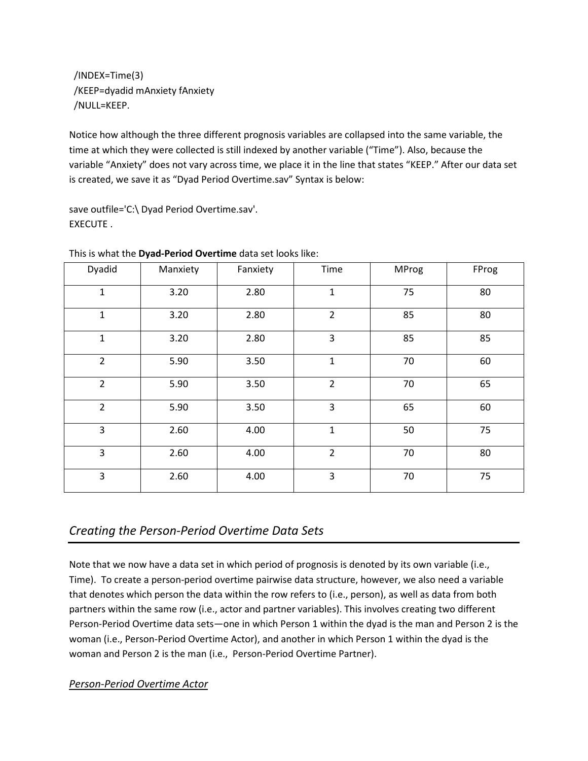/INDEX=Time(3) /KEEP=dyadid mAnxiety fAnxiety /NULL=KEEP.

Notice how although the three different prognosis variables are collapsed into the same variable, the time at which they were collected is still indexed by another variable ("Time"). Also, because the variable "Anxiety" does not vary across time, we place it in the line that states "KEEP." After our data set is created, we save it as "Dyad Period Overtime.sav" Syntax is below:

save outfile='C:\ Dyad Period Overtime.sav'. EXECUTE .

| Dyadid         | Manxiety | Fanxiety | Time           | <b>MProg</b> | FProg |
|----------------|----------|----------|----------------|--------------|-------|
| $\mathbf 1$    | 3.20     | 2.80     | $\mathbf{1}$   | 75           | 80    |
| $\mathbf{1}$   | 3.20     | 2.80     | $\overline{2}$ | 85           | 80    |
| $\mathbf 1$    | 3.20     | 2.80     | 3              | 85           | 85    |
| $\overline{2}$ | 5.90     | 3.50     | $\mathbf{1}$   | 70           | 60    |
| $\overline{2}$ | 5.90     | 3.50     | $\overline{2}$ | 70           | 65    |
| $\overline{2}$ | 5.90     | 3.50     | 3              | 65           | 60    |
| 3              | 2.60     | 4.00     | $\mathbf{1}$   | 50           | 75    |
| 3              | 2.60     | 4.00     | $\overline{2}$ | 70           | 80    |
| 3              | 2.60     | 4.00     | 3              | 70           | 75    |

This is what the **Dyad-Period Overtime** data set looks like:

## *Creating the Person-Period Overtime Data Sets*

Note that we now have a data set in which period of prognosis is denoted by its own variable (i.e., Time). To create a person-period overtime pairwise data structure, however, we also need a variable that denotes which person the data within the row refers to (i.e., person), as well as data from both partners within the same row (i.e., actor and partner variables). This involves creating two different Person-Period Overtime data sets—one in which Person 1 within the dyad is the man and Person 2 is the woman (i.e., Person-Period Overtime Actor), and another in which Person 1 within the dyad is the woman and Person 2 is the man (i.e., Person-Period Overtime Partner).

### *Person-Period Overtime Actor*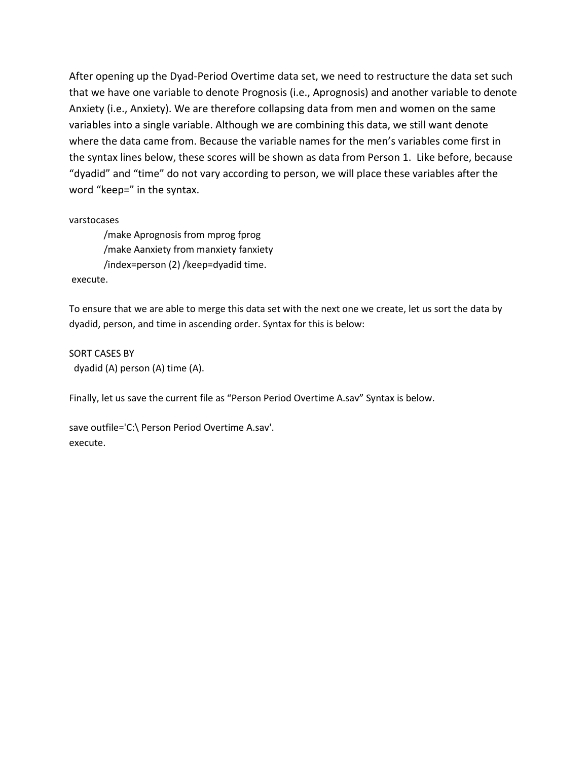After opening up the Dyad-Period Overtime data set, we need to restructure the data set such that we have one variable to denote Prognosis (i.e., Aprognosis) and another variable to denote Anxiety (i.e., Anxiety). We are therefore collapsing data from men and women on the same variables into a single variable. Although we are combining this data, we still want denote where the data came from. Because the variable names for the men's variables come first in the syntax lines below, these scores will be shown as data from Person 1. Like before, because "dyadid" and "time" do not vary according to person, we will place these variables after the word "keep=" in the syntax.

varstocases

/make Aprognosis from mprog fprog /make Aanxiety from manxiety fanxiety /index=person (2) /keep=dyadid time.

execute.

To ensure that we are able to merge this data set with the next one we create, let us sort the data by dyadid, person, and time in ascending order. Syntax for this is below:

SORT CASES BY dyadid (A) person (A) time (A).

Finally, let us save the current file as "Person Period Overtime A.sav" Syntax is below.

save outfile='C:\ Person Period Overtime A.sav'. execute.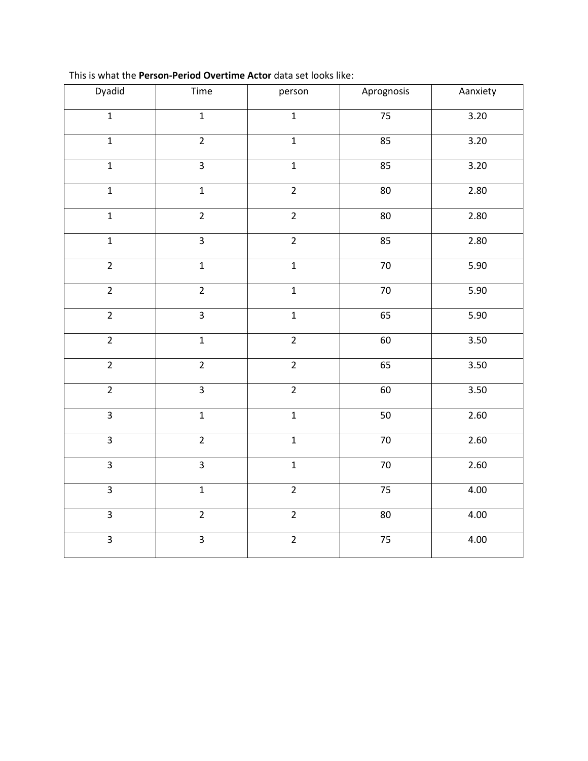| Dyadid         | Time           | person                            | Aprognosis      | Aanxiety          |  |
|----------------|----------------|-----------------------------------|-----------------|-------------------|--|
| $\mathbf{1}$   | $\mathbf{1}$   | $\mathbf{1}$                      | 75              | $\frac{1}{3.20}$  |  |
| $\overline{1}$ | $\overline{2}$ | $\mathbf 1$                       | 85              | 3.20              |  |
| $\overline{1}$ | $\overline{3}$ | $\overline{\mathbf{1}}$           | 85              | $\frac{1}{3.20}$  |  |
| $\overline{1}$ | $\overline{1}$ | $\overline{2}$                    | 80              | 2.80              |  |
| $\overline{1}$ | $\overline{2}$ | $\overline{2}$                    | 80              | $\frac{1}{2.80}$  |  |
| $\overline{1}$ | $\overline{3}$ | $\overline{2}$                    | 85              | 2.80              |  |
| $\overline{2}$ | $\overline{1}$ | $\overline{1}$                    | 70              | 5.90              |  |
| $\overline{2}$ | $\overline{2}$ | $\overline{1}$                    | 70              | $\overline{5.90}$ |  |
| $\overline{2}$ | $\overline{3}$ | $\overline{1}$                    | 65              | 5.90              |  |
| $\overline{2}$ | $\overline{1}$ | $\overline{2}$                    | 60              | 3.50              |  |
| $\overline{2}$ | $\overline{2}$ | $\overline{2}$                    | 65              | 3.50              |  |
| $\overline{2}$ | $\overline{3}$ | $\overline{2}$                    | 60              | 3.50              |  |
| $\overline{3}$ | $\mathbf 1$    | $\overline{1}$                    | 50              | 2.60              |  |
| $\overline{3}$ | $\overline{2}$ | $\mathbf 1$                       | $70\,$          | 2.60              |  |
| $\overline{3}$ | $\overline{3}$ | $\overline{1}$                    | $\overline{7}0$ | 2.60              |  |
| $\overline{3}$ | $\overline{1}$ | $\overline{2}$<br>$\overline{75}$ |                 | $\overline{4.00}$ |  |
| $\overline{3}$ | $\overline{2}$ | $\overline{2}$                    | $\overline{80}$ | 4.00              |  |
| $\overline{3}$ | $\overline{3}$ | $\overline{2}$                    | 75              | 4.00              |  |

This is what the **Person-Period Overtime Actor** data set looks like: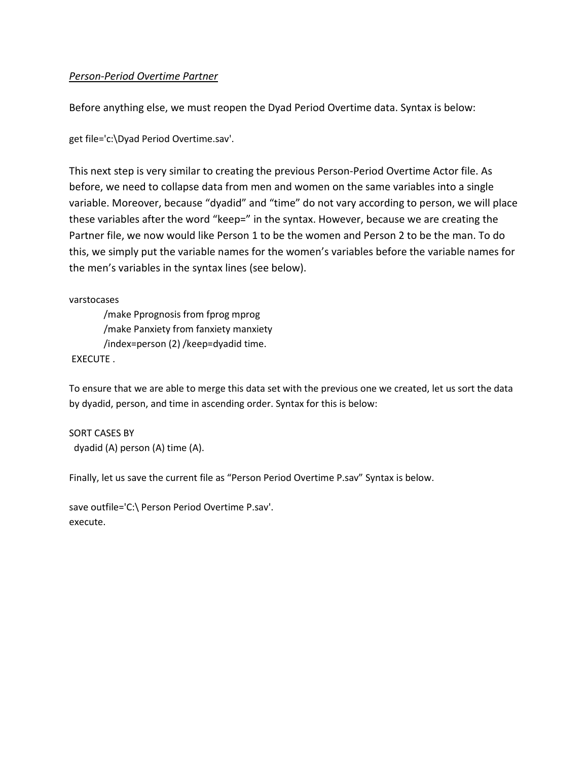#### *Person-Period Overtime Partner*

Before anything else, we must reopen the Dyad Period Overtime data. Syntax is below:

get file='c:\Dyad Period Overtime.sav'.

This next step is very similar to creating the previous Person-Period Overtime Actor file. As before, we need to collapse data from men and women on the same variables into a single variable. Moreover, because "dyadid" and "time" do not vary according to person, we will place these variables after the word "keep=" in the syntax. However, because we are creating the Partner file, we now would like Person 1 to be the women and Person 2 to be the man. To do this, we simply put the variable names for the women's variables before the variable names for the men's variables in the syntax lines (see below).

varstocases

/make Pprognosis from fprog mprog /make Panxiety from fanxiety manxiety /index=person (2) /keep=dyadid time.

EXECUTE .

To ensure that we are able to merge this data set with the previous one we created, let us sort the data by dyadid, person, and time in ascending order. Syntax for this is below:

SORT CASES BY dyadid (A) person (A) time (A).

Finally, let us save the current file as "Person Period Overtime P.sav" Syntax is below.

save outfile='C:\ Person Period Overtime P.sav'. execute.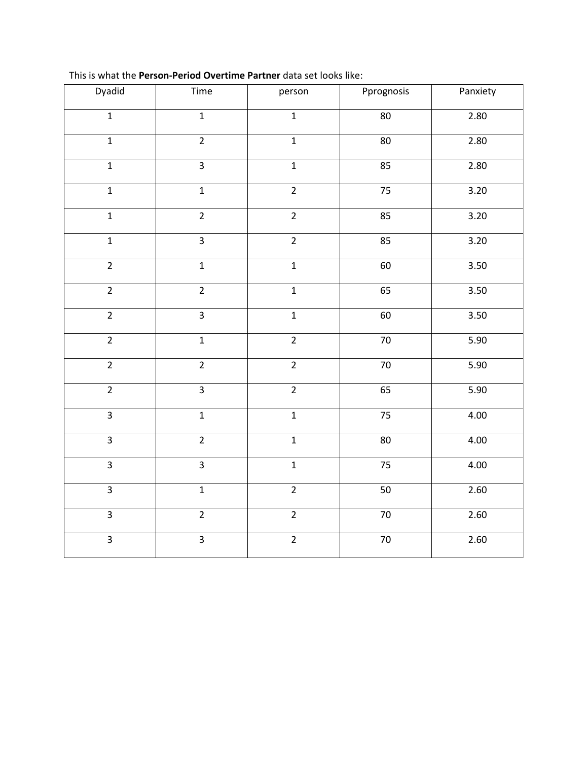| Dyadid         | Time                             | person         | Pprognosis      | Panxiety          |
|----------------|----------------------------------|----------------|-----------------|-------------------|
| $\mathbf{1}$   | $\mathbf 1$                      | $\mathbf{1}$   | 80              | 2.80              |
| $\mathbf{1}$   | $\overline{2}$                   | $\mathbf{1}$   | 80              | 2.80              |
| $\overline{1}$ | $\overline{3}$                   | $\overline{1}$ | 85              | 2.80              |
| $\overline{1}$ | $\overline{1}$                   | $\overline{2}$ | 75              | 3.20              |
| $\overline{1}$ | $\overline{2}$                   | $\overline{2}$ | 85              | $\overline{3.20}$ |
| $\overline{1}$ | $\overline{3}$                   | $\overline{2}$ | 85              | 3.20              |
| $\overline{2}$ | $\mathbf{1}$                     | $\mathbf{1}$   | 60              | 3.50              |
| $\overline{2}$ | $\overline{2}$                   | $\overline{1}$ | 65              | 3.50              |
| $\overline{2}$ | $\overline{3}$                   | $\mathbf{1}$   | 60              | 3.50              |
| $\overline{2}$ | $\overline{1}$                   | $\overline{2}$ | $\overline{70}$ | 5.90              |
| $\overline{2}$ | $\overline{2}$                   | $\overline{2}$ | $70\,$          | 5.90              |
| $\overline{2}$ | $\overline{3}$                   | $\overline{2}$ | 65              | 5.90              |
| $\overline{3}$ | $\mathbf 1$                      | $\mathbf 1$    | 75              | 4.00              |
| $\overline{3}$ | $\overline{2}$                   | $\mathbf 1$    | 80              | 4.00              |
| $\overline{3}$ | $\overline{3}$                   | $\overline{1}$ | 75              | 4.00              |
| $\overline{3}$ | $\overline{1}$                   | $\overline{2}$ | 50              | 2.60              |
| $\overline{3}$ | $\overline{2}$                   | $\overline{2}$ | $\overline{70}$ | 2.60              |
| $\overline{3}$ | $\overline{3}$<br>$\overline{2}$ |                | 70              | 2.60              |

This is what the **Person-Period Overtime Partner** data set looks like: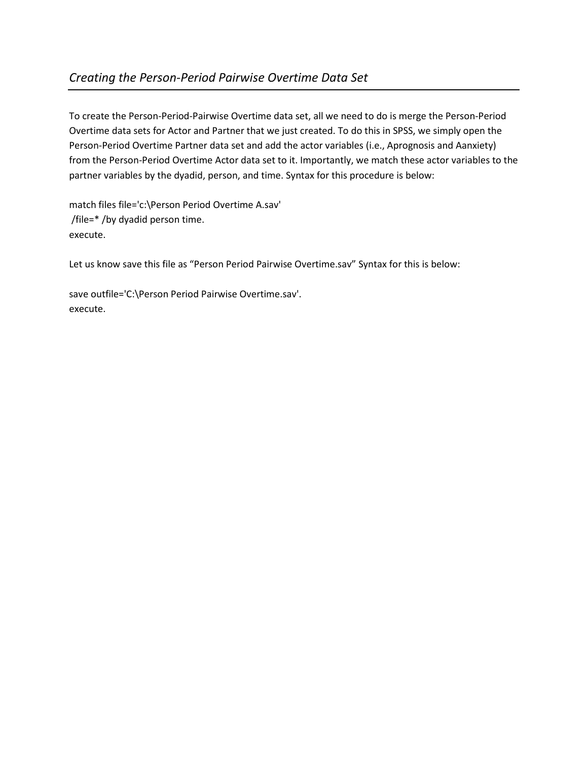To create the Person-Period-Pairwise Overtime data set, all we need to do is merge the Person-Period Overtime data sets for Actor and Partner that we just created. To do this in SPSS, we simply open the Person-Period Overtime Partner data set and add the actor variables (i.e., Aprognosis and Aanxiety) from the Person-Period Overtime Actor data set to it. Importantly, we match these actor variables to the partner variables by the dyadid, person, and time. Syntax for this procedure is below:

match files file='c:\Person Period Overtime A.sav' /file=\* /by dyadid person time. execute.

Let us know save this file as "Person Period Pairwise Overtime.sav" Syntax for this is below:

save outfile='C:\Person Period Pairwise Overtime.sav'. execute.